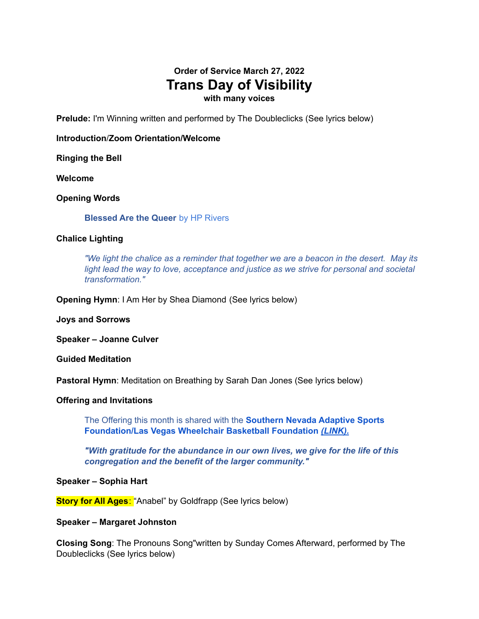# **Order of Service March 27, 2022 Trans Day of Visibility with many voices**

**Prelude:** I'm Winning written and performed by The Doubleclicks (See lyrics below)

# **Introduction**/**Zoom Orientation/Welcome**

**Ringing the Bell**

**Welcome**

# **Opening Words**

**Blessed Are the Queer** by HP Rivers

# **Chalice Lighting**

*"We light the chalice as a reminder that together we are a beacon in the desert. May its light lead the way to love, acceptance and justice as we strive for personal and societal transformation."*

**Opening Hymn**: I Am Her by Shea Diamond (See lyrics below)

**Joys and Sorrows**

**Speaker – Joanne Culver**

**Guided Meditation**

**Pastoral Hymn**: Meditation on Breathing by Sarah Dan Jones (See lyrics below)

#### **Offering and Invitations**

The Offering this month is shared with the **Southern Nevada Adaptive Sports Foundation/Las Vegas Wheelchair Basketball Foundation** *[\(LINK\).](https://www.uuclv.org/uuclv-blog/snasf)*

*"With gratitude for the abundance in our own lives, we give for the life of this congregation and the benefit of the larger community."*

#### **Speaker – Sophia Hart**

**Story for All Ages**: "Anabel" by Goldfrapp (See lyrics below)

#### **Speaker – Margaret Johnston**

**Closing Song**: The Pronouns Song"written by Sunday Comes Afterward, performed by The Doubleclicks (See lyrics below)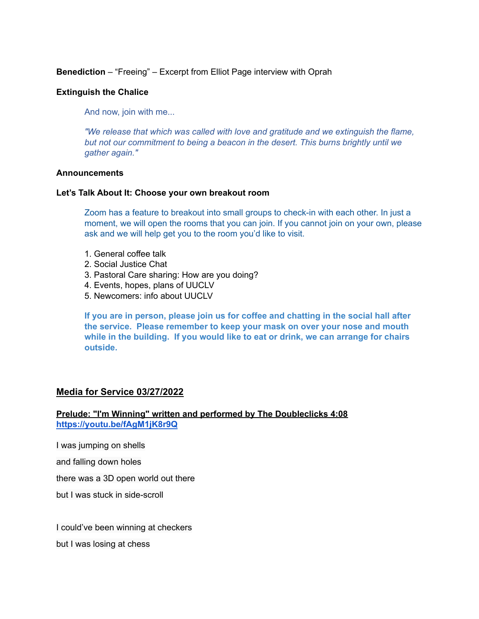**Benediction** – "Freeing" – Excerpt from Elliot Page interview with Oprah

# **Extinguish the Chalice**

And now, join with me...

*"We release that which was called with love and gratitude and we extinguish the flame, but not our commitment to being a beacon in the desert. This burns brightly until we gather again."*

# **Announcements**

#### **Let's Talk About It: Choose your own breakout room**

Zoom has a feature to breakout into small groups to check-in with each other. In just a moment, we will open the rooms that you can join. If you cannot join on your own, please ask and we will help get you to the room you'd like to visit.

- 1. General coffee talk
- 2. Social Justice Chat
- 3. Pastoral Care sharing: How are you doing?
- 4. Events, hopes, plans of UUCLV
- 5. Newcomers: info about UUCLV

**If you are in person, please join us for coffee and chatting in the social hall after the service. Please remember to keep your mask on over your nose and mouth while in the building. If you would like to eat or drink, we can arrange for chairs outside.**

# **Media for Service 03/27/2022**

# **Prelude: "I'm Winning" written and performed by The Doubleclicks 4:08 <https://youtu.be/fAgM1jK8r9Q>**

I was jumping on shells

and falling down holes

there was a 3D open world out there

but I was stuck in side-scroll

I could've been winning at checkers

but I was losing at chess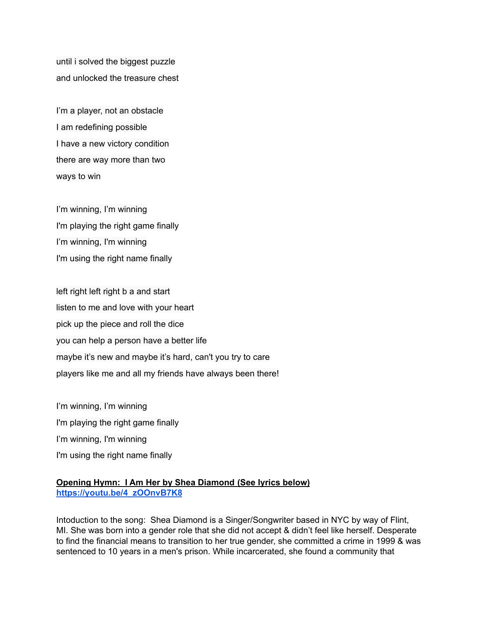until i solved the biggest puzzle and unlocked the treasure chest

I'm a player, not an obstacle I am redefining possible I have a new victory condition there are way more than two ways to win

I'm winning, I'm winning I'm playing the right game finally I'm winning, I'm winning I'm using the right name finally

left right left right b a and start listen to me and love with your heart pick up the piece and roll the dice you can help a person have a better life maybe it's new and maybe it's hard, can't you try to care players like me and all my friends have always been there!

I'm winning, I'm winning I'm playing the right game finally I'm winning, I'm winning I'm using the right name finally

# **Opening Hymn: I Am Her by Shea Diamond (See lyrics below) [https://youtu.be/4\\_zOOnvB7K8](https://youtu.be/4_zOOnvB7K8)**

Intoduction to the song: Shea Diamond is a Singer/Songwriter based in NYC by way of Flint, MI. She was born into a gender role that she did not accept & didn't feel like herself. Desperate to find the financial means to transition to her true gender, she committed a crime in 1999 & was sentenced to 10 years in a men's prison. While incarcerated, she found a community that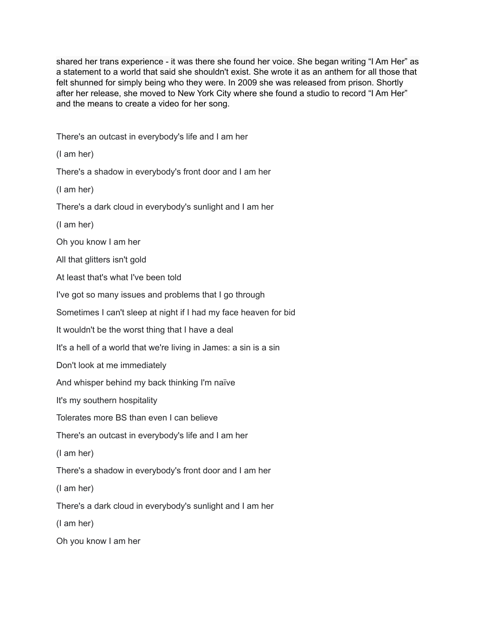shared her trans experience - it was there she found her voice. She began writing "I Am Her" as a statement to a world that said she shouldn't exist. She wrote it as an anthem for all those that felt shunned for simply being who they were. In 2009 she was released from prison. Shortly after her release, she moved to New York City where she found a studio to record "I Am Her" and the means to create a video for her song.

There's an outcast in everybody's life and I am her

(I am her)

There's a shadow in everybody's front door and I am her

(I am her)

There's a dark cloud in everybody's sunlight and I am her

(I am her)

Oh you know I am her

All that glitters isn't gold

At least that's what I've been told

I've got so many issues and problems that I go through

Sometimes I can't sleep at night if I had my face heaven for bid

It wouldn't be the worst thing that I have a deal

It's a hell of a world that we're living in James: a sin is a sin

Don't look at me immediately

And whisper behind my back thinking I'm naïve

It's my southern hospitality

Tolerates more BS than even I can believe

There's an outcast in everybody's life and I am her

(I am her)

There's a shadow in everybody's front door and I am her

(I am her)

There's a dark cloud in everybody's sunlight and I am her

(I am her)

Oh you know I am her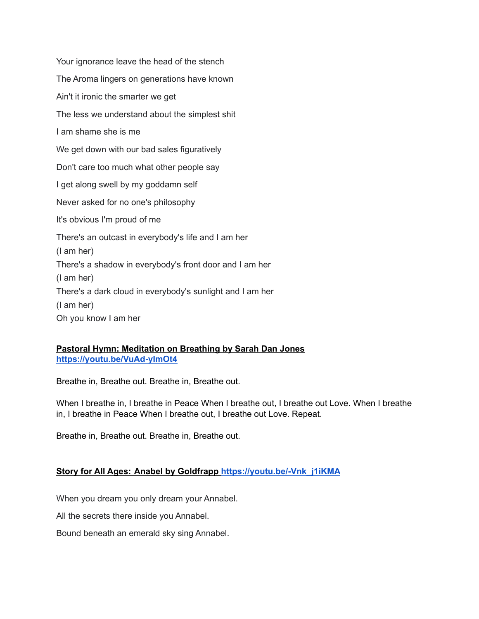Your ignorance leave the head of the stench The Aroma lingers on generations have known Ain't it ironic the smarter we get The less we understand about the simplest shit I am shame she is me We get down with our bad sales figuratively Don't care too much what other people say I get along swell by my goddamn self Never asked for no one's philosophy It's obvious I'm proud of me There's an outcast in everybody's life and I am her (I am her) There's a shadow in everybody's front door and I am her (I am her) There's a dark cloud in everybody's sunlight and I am her (I am her) Oh you know I am her

# **Pastoral Hymn: Meditation on Breathing by Sarah Dan Jones <https://youtu.be/VuAd-yImOt4>**

Breathe in, Breathe out. Breathe in, Breathe out.

When I breathe in, I breathe in Peace When I breathe out, I breathe out Love. When I breathe in, I breathe in Peace When I breathe out, I breathe out Love. Repeat.

Breathe in, Breathe out. Breathe in, Breathe out.

# **Story for All Ages: Anabel by Goldfrapp [https://youtu.be/-Vnk\\_j1iKMA](https://www.youtube.com/watch?v=-Vnk_j1iKMA)**

When you dream you only dream your Annabel.

All the secrets there inside you Annabel.

Bound beneath an emerald sky sing Annabel.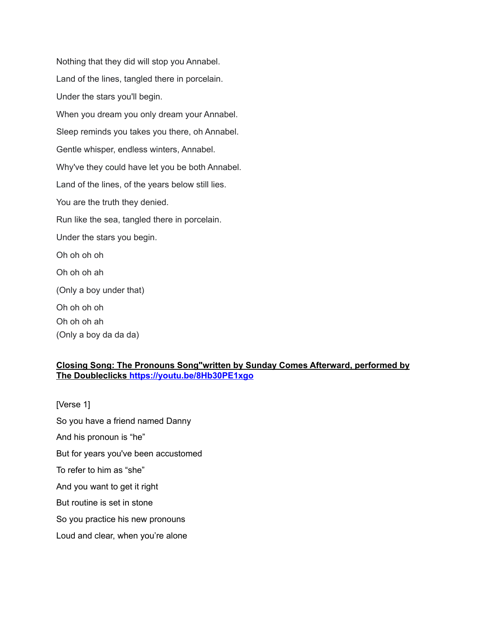Nothing that they did will stop you Annabel. Land of the lines, tangled there in porcelain. Under the stars you'll begin. When you dream you only dream your Annabel. Sleep reminds you takes you there, oh Annabel. Gentle whisper, endless winters, Annabel. Why've they could have let you be both Annabel. Land of the lines, of the years below still lies. You are the truth they denied. Run like the sea, tangled there in porcelain. Under the stars you begin. Oh oh oh oh Oh oh oh ah (Only a boy under that) Oh oh oh oh Oh oh oh ah (Only a boy da da da)

# **Closing Song: The Pronouns Song"written by Sunday Comes Afterward, performed by The Doubleclicks [https://youtu.be/8Hb30PE1xgo](https://www.youtube.com/watch?v=8Hb30PE1xgo)**

[Verse 1] So you have a friend named Danny And his pronoun is "he" But for years you've been accustomed To refer to him as "she" And you want to get it right But routine is set in stone So you practice his new pronouns Loud and clear, when you're alone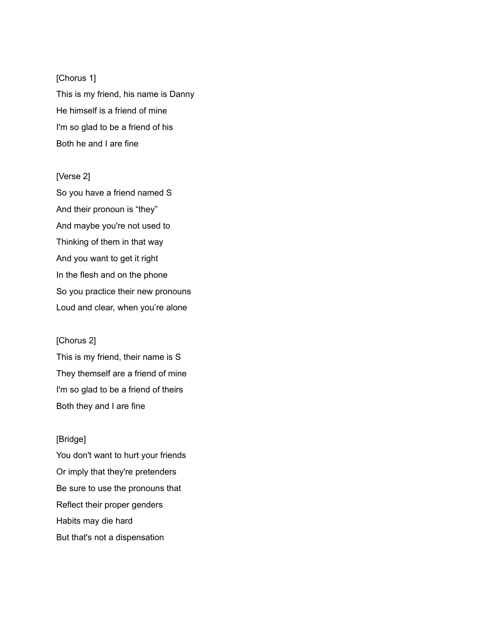[Chorus 1] This is my friend, his name is Danny He himself is a friend of mine I'm so glad to be a friend of his Both he and I are fine

[Verse 2] So you have a friend named S And their pronoun is "they" And maybe you're not used to Thinking of them in that way And you want to get it right In the flesh and on the phone So you practice their new pronouns Loud and clear, when you're alone

[Chorus 2] This is my friend, their name is S They themself are a friend of mine I'm so glad to be a friend of theirs Both they and I are fine

# [Bridge]

You don't want to hurt your friends Or imply that they're pretenders Be sure to use the pronouns that Reflect their proper genders Habits may die hard But that's not a dispensation